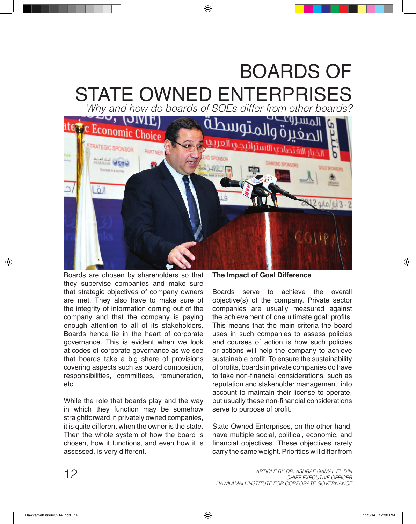## BOARDS OF STATE OWNED ENTERPRISES

*Why and how do boards of SOEs differ from other boards?*



Boards are chosen by shareholders so that they supervise companies and make sure that strategic objectives of company owners are met. They also have to make sure of the integrity of information coming out of the company and that the company is paying enough attention to all of its stakeholders. Boards hence lie in the heart of corporate governance. This is evident when we look at codes of corporate governance as we see that boards take a big share of provisions covering aspects such as board composition, responsibilities, committees, remuneration, etc.

While the role that boards play and the way in which they function may be somehow straightforward in privately owned companies, it is quite different when the owner is the state. Then the whole system of how the board is chosen, how it functions, and even how it is assessed, is very different.

**The Impact of Goal Difference**

Boards serve to achieve the overall objective(s) of the company. Private sector companies are usually measured against the achievement of one ultimate goal: profits. This means that the main criteria the board uses in such companies to assess policies and courses of action is how such policies or actions will help the company to achieve sustainable profit. To ensure the sustainability of profits, boards in private companies do have to take non-financial considerations, such as reputation and stakeholder management, into account to maintain their license to operate, but usually these non-financial considerations serve to purpose of profit.

State Owned Enterprises, on the other hand, have multiple social, political, economic, and financial objectives. These objectives rarely carry the same weight. Priorities will differ from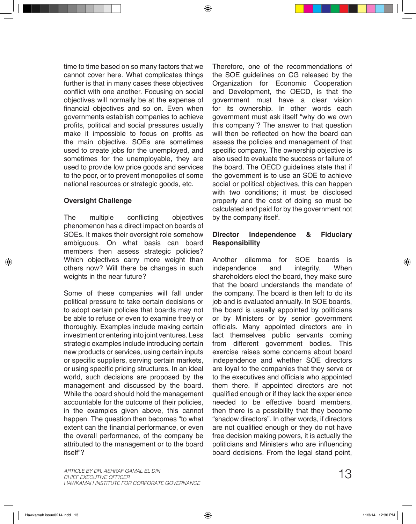time to time based on so many factors that we cannot cover here. What complicates things further is that in many cases these objectives conflict with one another. Focusing on social objectives will normally be at the expense of financial objectives and so on. Even when governments establish companies to achieve profits, political and social pressures usually make it impossible to focus on profits as the main objective. SOEs are sometimes used to create jobs for the unemployed, and sometimes for the unemployable, they are used to provide low price goods and services to the poor, or to prevent monopolies of some national resources or strategic goods, etc.

## **Oversight Challenge**

The multiple conflicting objectives phenomenon has a direct impact on boards of SOEs. It makes their oversight role somehow ambiguous. On what basis can board members then assess strategic policies? Which objectives carry more weight than others now? Will there be changes in such weights in the near future?

Some of these companies will fall under political pressure to take certain decisions or to adopt certain policies that boards may not be able to refuse or even to examine freely or thoroughly. Examples include making certain investment or entering into joint ventures. Less strategic examples include introducing certain new products or services, using certain inputs or specific suppliers, serving certain markets, or using specific pricing structures. In an ideal world, such decisions are proposed by the management and discussed by the board. While the board should hold the management accountable for the outcome of their policies, in the examples given above, this cannot happen. The question then becomes "to what extent can the financial performance, or even the overall performance, of the company be attributed to the management or to the board itself"?

Therefore, one of the recommendations of the SOE guidelines on CG released by the Organization for Economic Cooperation and Development, the OECD, is that the government must have a clear vision for its ownership. In other words each government must ask itself "why do we own this company"? The answer to that question will then be reflected on how the board can assess the policies and management of that specific company. The ownership objective is also used to evaluate the success or failure of the board. The OECD guidelines state that if the government is to use an SOE to achieve social or political objectives, this can happen with two conditions; it must be disclosed properly and the cost of doing so must be calculated and paid for by the government not by the company itself.

## **Director Independence & Fiduciary Responsibility**

Another dilemma for SOE boards is independence and integrity. When shareholders elect the board, they make sure that the board understands the mandate of the company. The board is then left to do its job and is evaluated annually. In SOE boards, the board is usually appointed by politicians or by Ministers or by senior government officials. Many appointed directors are in fact themselves public servants coming from different government bodies. This exercise raises some concerns about board independence and whether SOE directors are loyal to the companies that they serve or to the executives and officials who appointed them there. If appointed directors are not qualified enough or if they lack the experience needed to be effective board members, then there is a possibility that they become "shadow directors". In other words, if directors are not qualified enough or they do not have free decision making powers, it is actually the politicians and Ministers who are influencing board decisions. From the legal stand point,